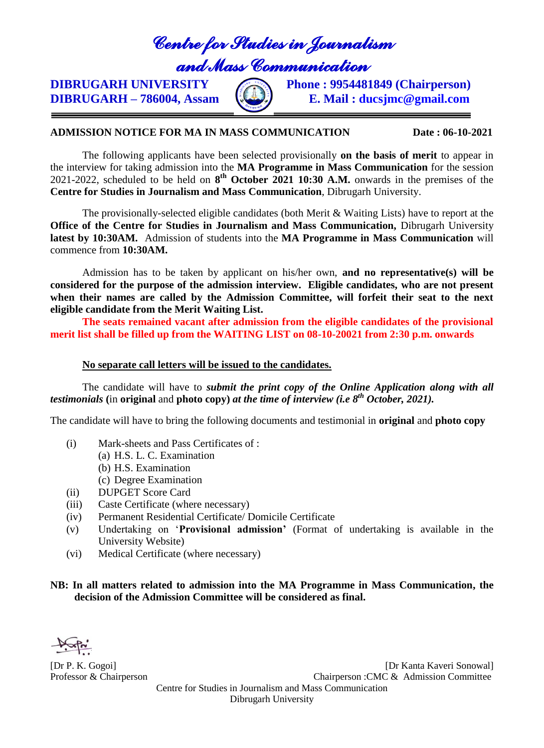*and Mass Communication* 

**DIBRUGARH – 786004, Assam E. Mail : ducsjmc@gmail.com**

**DIBRUGARH UNIVERSITY** Phone : 9954481849 (Chairperson)

### **ADMISSION NOTICE FOR MA IN MASS COMMUNICATION Date : 06-10-2021**

The following applicants have been selected provisionally **on the basis of merit** to appear in the interview for taking admission into the **MA Programme in Mass Communication** for the session 2021-2022, scheduled to be held on **8 th October 2021 10:30 A.M.** onwards in the premises of the **Centre for Studies in Journalism and Mass Communication**, Dibrugarh University.

The provisionally-selected eligible candidates (both Merit & Waiting Lists) have to report at the **Office of the Centre for Studies in Journalism and Mass Communication,** Dibrugarh University **latest by 10:30AM.** Admission of students into the **MA Programme in Mass Communication** will commence from **10:30AM.** 

Admission has to be taken by applicant on his/her own, **and no representative(s) will be considered for the purpose of the admission interview. Eligible candidates, who are not present when their names are called by the Admission Committee, will forfeit their seat to the next eligible candidate from the Merit Waiting List.** 

**The seats remained vacant after admission from the eligible candidates of the provisional merit list shall be filled up from the WAITING LIST on 08-10-20021 from 2:30 p.m. onwards**

#### **No separate call letters will be issued to the candidates.**

The candidate will have to *submit the print copy of the Online Application along with all testimonials* **(**in **original** and **photo copy)** *at the time of interview (i.e 8 th October, 2021).*

The candidate will have to bring the following documents and testimonial in **original** and **photo copy**

- (i) Mark-sheets and Pass Certificates of :
	- (a) H.S. L. C. Examination
	- (b) H.S. Examination
	- (c) Degree Examination
- (ii) DUPGET Score Card
- (iii) Caste Certificate (where necessary)
- (iv) Permanent Residential Certificate/ Domicile Certificate
- (v) Undertaking on '**Provisional admission'** (Format of undertaking is available in the University Website)
- (vi) Medical Certificate (where necessary)

### **NB: In all matters related to admission into the MA Programme in Mass Communication, the decision of the Admission Committee will be considered as final.**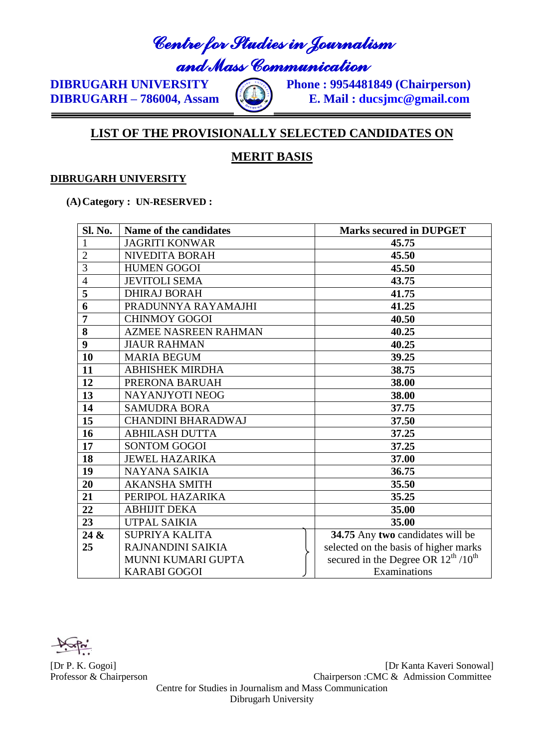*and Mass Communication* 

**DIBRUGARH – 786004, Assam** 

**DIBRUGARH UNIVERSITY Phone : 9954481849 (Chairperson)**<br>**DIBRUGARH - 786004, Assam E. Mail : ducsjmc@gmail.com** 

### **LIST OF THE PROVISIONALLY SELECTED CANDIDATES ON**

### **MERIT BASIS**

### **DIBRUGARH UNIVERSITY**

#### **(A)Category : UN-RESERVED :**

| Sl. No.        | Name of the candidates      | <b>Marks secured in DUPGET</b>                              |
|----------------|-----------------------------|-------------------------------------------------------------|
| $\mathbf{1}$   | <b>JAGRITI KONWAR</b>       | 45.75                                                       |
| $\overline{2}$ | NIVEDITA BORAH              | 45.50                                                       |
| 3              | <b>HUMEN GOGOI</b>          | 45.50                                                       |
| $\overline{4}$ | <b>JEVITOLI SEMA</b>        | 43.75                                                       |
| 5              | <b>DHIRAJ BORAH</b>         | 41.75                                                       |
| 6              | PRADUNNYA RAYAMAJHI         | 41.25                                                       |
| $\overline{7}$ | <b>CHINMOY GOGOI</b>        | 40.50                                                       |
| 8              | <b>AZMEE NASREEN RAHMAN</b> | 40.25                                                       |
| 9              | <b>JIAUR RAHMAN</b>         | 40.25                                                       |
| 10             | <b>MARIA BEGUM</b>          | 39.25                                                       |
| 11             | <b>ABHISHEK MIRDHA</b>      | 38.75                                                       |
| 12             | PRERONA BARUAH              | 38.00                                                       |
| 13             | NAYANJYOTI NEOG             | 38.00                                                       |
| 14             | <b>SAMUDRA BORA</b>         | 37.75                                                       |
| 15             | <b>CHANDINI BHARADWAJ</b>   | 37.50                                                       |
| 16             | <b>ABHILASH DUTTA</b>       | 37.25                                                       |
| 17             | <b>SONTOM GOGOI</b>         | 37.25                                                       |
| 18             | <b>JEWEL HAZARIKA</b>       | 37.00                                                       |
| 19             | <b>NAYANA SAIKIA</b>        | 36.75                                                       |
| 20             | <b>AKANSHA SMITH</b>        | 35.50                                                       |
| 21             | PERIPOL HAZARIKA            | 35.25                                                       |
| 22             | <b>ABHIJIT DEKA</b>         | 35.00                                                       |
| 23             | <b>UTPAL SAIKIA</b>         | 35.00                                                       |
| 24 &           | <b>SUPRIYA KALITA</b>       | 34.75 Any two candidates will be                            |
| 25             | RAJNANDINI SAIKIA           | selected on the basis of higher marks                       |
|                | <b>MUNNI KUMARI GUPTA</b>   | secured in the Degree OR $12^{\text{th}}$ /10 <sup>th</sup> |
|                | <b>KARABI GOGOI</b>         | Examinations                                                |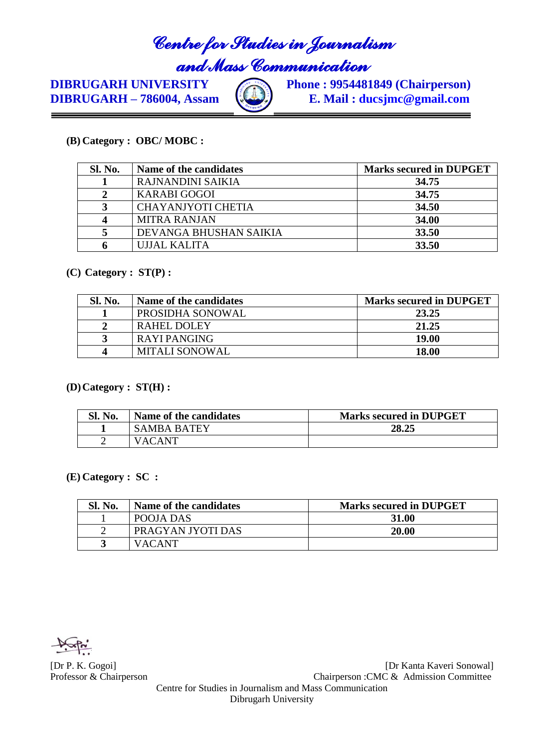# *and Mass Communication*<br>DIBRUGARH UNIVERSITY Phone : 9954481

**DIBRUGARH – 786004, Assam** 

**Phone : 9954481849 (Chairperson)**<br>**E. Mail : ducsjmc@gmail.com** 

### **(B) Category : OBC/ MOBC :**

| <b>Sl. No.</b> | Name of the candidates    | <b>Marks secured in DUPGET</b> |
|----------------|---------------------------|--------------------------------|
|                | <b>RAJNANDINI SAIKIA</b>  | 34.75                          |
|                | <b>KARABI GOGOI</b>       | 34.75                          |
| 3              | <b>CHAYANJYOTI CHETIA</b> | 34.50                          |
| 4              | <b>MITRA RANJAN</b>       | 34.00                          |
|                | DEVANGA BHUSHAN SAIKIA    | 33.50                          |
|                | UJJAL KALITA              | 33.50                          |

### **(C) Category : ST(P) :**

| Sl. No. | Name of the candidates | <b>Marks secured in DUPGET</b> |
|---------|------------------------|--------------------------------|
|         | PROSIDHA SONOWAL       | 23.25                          |
|         | RAHEL DOLEY            | 21.25                          |
|         | RAYI PANGING           | 19.00                          |
| Δ       | <b>MITALI SONOWAL</b>  | 18.00                          |

### **(D)Category : ST(H) :**

| <b>Sl. No.</b> | Name of the candidates | <b>Marks secured in DUPGET</b> |
|----------------|------------------------|--------------------------------|
|                | <b>SAMBA BATEY</b>     | 28.25                          |
|                | 7 A C A NT             |                                |

### **(E) Category : SC :**

| <b>Sl. No.</b> | Name of the candidates | <b>Marks secured in DUPGET</b> |
|----------------|------------------------|--------------------------------|
|                | POOJA DAS              | 31.00                          |
|                | PRAGYAN JYOTI DAS      | 20.00                          |
|                | <b>VACANT</b>          |                                |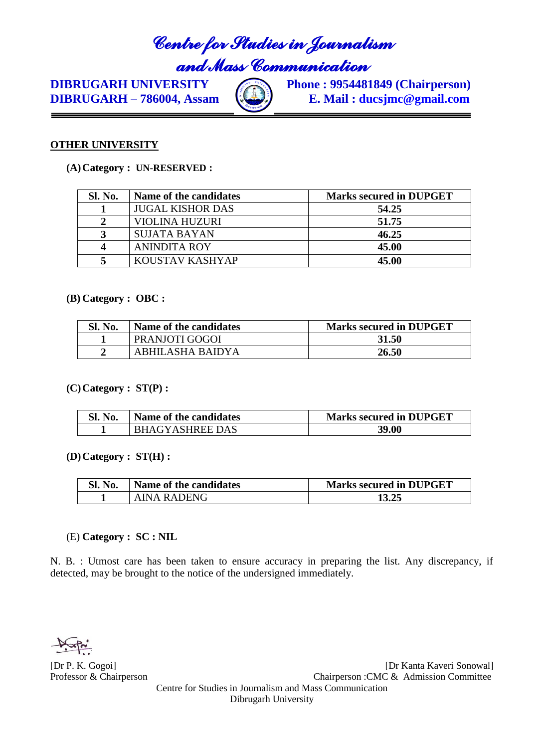### *and Mass Communication*

**DIBRUGARH – 786004, Assam E. Mail : ducsjmc@gmail.com**

**DIBRUGARH UNIVERSITY** Phone : 9954481849 (Chairperson)

### **OTHER UNIVERSITY**

**(A)Category : UN-RESERVED :**

| <b>Sl. No.</b> | Name of the candidates  | <b>Marks secured in DUPGET</b> |
|----------------|-------------------------|--------------------------------|
|                | <b>JUGAL KISHOR DAS</b> | 54.25                          |
| $\overline{2}$ | <b>VIOLINA HUZURI</b>   | 51.75                          |
| 3              | <b>SUJATA BAYAN</b>     | 46.25                          |
| 4              | <b>ANINDITA ROY</b>     | 45.00                          |
|                | KOUSTAV KASHYAP         | 45.00                          |

#### **(B) Category : OBC :**

| <b>Sl. No.</b> | Name of the candidates | <b>Marks secured in DUPGET</b> |
|----------------|------------------------|--------------------------------|
|                | PRANJOTI GOGOI         | 31.50                          |
|                | ABHILASHA BAIDYA       | 26.50                          |

#### **(C)Category : ST(P) :**

| <b>Sl. No.</b> | Name of the candidates | <b>Marks secured in DUPGET</b> |
|----------------|------------------------|--------------------------------|
|                | <b>BHAGYASHREE DAS</b> | 39.00                          |

#### **(D)Category : ST(H) :**

| <b>Sl. No.</b> | Name of the candidates | <b>Marks secured in DUPGET</b> |
|----------------|------------------------|--------------------------------|
|                | AINA RADENG            | 13.25                          |

#### (E) **Category : SC : NIL**

N. B. : Utmost care has been taken to ensure accuracy in preparing the list. Any discrepancy, if detected, may be brought to the notice of the undersigned immediately.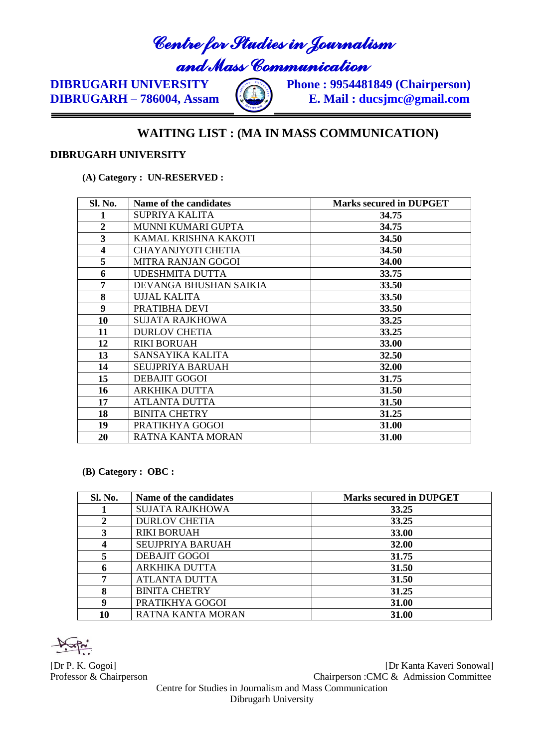*and Mass Communication*<br>DIBRUGARH UNIVERSITY Phone: 9954481

**DIBRUGARH – 786004, Assam** 

**Phone : 9954481849 (Chairperson)**<br>**E. Mail : ducsjmc@gmail.com** 

### **WAITING LIST : (MA IN MASS COMMUNICATION)**

### **DIBRUGARH UNIVERSITY**

**(A) Category : UN-RESERVED :**

| Sl. No.                 | Name of the candidates    | <b>Marks secured in DUPGET</b> |
|-------------------------|---------------------------|--------------------------------|
| 1                       | SUPRIYA KALITA            | 34.75                          |
| $\overline{2}$          | MUNNI KUMARI GUPTA        | 34.75                          |
| 3                       | KAMAL KRISHNA KAKOTI      | 34.50                          |
| $\overline{\mathbf{4}}$ | <b>CHAYANJYOTI CHETIA</b> | 34.50                          |
| 5                       | MITRA RANJAN GOGOI        | <b>34.00</b>                   |
| 6                       | <b>UDESHMITA DUTTA</b>    | 33.75                          |
| 7                       | DEVANGA BHUSHAN SAIKIA    | 33.50                          |
| 8                       | <b>UJJAL KALITA</b>       | 33.50                          |
| 9                       | PRATIBHA DEVI             | 33.50                          |
| 10                      | SUJATA RAJKHOWA           | 33.25                          |
| 11                      | <b>DURLOV CHETIA</b>      | 33.25                          |
| 12                      | <b>RIKI BORUAH</b>        | <b>33.00</b>                   |
| 13                      | SANSAYIKA KALITA          | 32.50                          |
| 14                      | SEUJPRIYA BARUAH          | <b>32.00</b>                   |
| 15                      | <b>DEBAJIT GOGOI</b>      | 31.75                          |
| 16                      | ARKHIKA DUTTA             | 31.50                          |
| 17                      | <b>ATLANTA DUTTA</b>      | 31.50                          |
| 18                      | <b>BINITA CHETRY</b>      | 31.25                          |
| 19                      | PRATIKHYA GOGOI           | 31.00                          |
| 20                      | RATNA KANTA MORAN         | 31.00                          |

**(B) Category : OBC :**

| Sl. No.          | Name of the candidates  | <b>Marks secured in DUPGET</b> |
|------------------|-------------------------|--------------------------------|
|                  | <b>SUJATA RAJKHOWA</b>  | 33.25                          |
| 2                | <b>DURLOV CHETIA</b>    | 33.25                          |
| 3                | <b>RIKI BORUAH</b>      | 33.00                          |
| $\boldsymbol{4}$ | <b>SEUJPRIYA BARUAH</b> | 32.00                          |
|                  | <b>DEBAJIT GOGOI</b>    | 31.75                          |
| -6               | <b>ARKHIKA DUTTA</b>    | 31.50                          |
| 7                | <b>ATLANTA DUTTA</b>    | 31.50                          |
| 8                | <b>BINITA CHETRY</b>    | 31.25                          |
| 9                | PRATIKHYA GOGOI         | 31.00                          |
| 10               | RATNA KANTA MORAN       | 31.00                          |